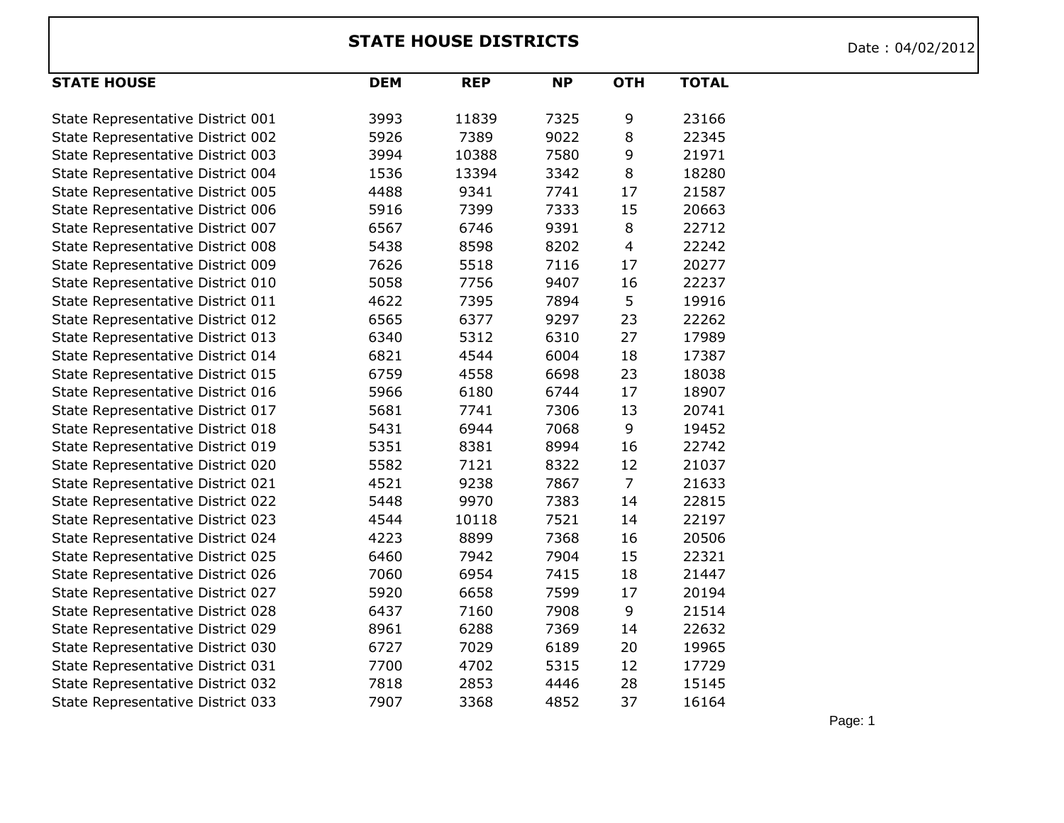## **STATE HOUSE DISTRICTS** Date : 04/02/2012

| <b>STATE HOUSE</b>                | <b>DEM</b> | <b>REP</b> | <b>NP</b> | <b>OTH</b>     | <b>TOTAL</b> |
|-----------------------------------|------------|------------|-----------|----------------|--------------|
|                                   |            |            |           |                |              |
| State Representative District 001 | 3993       | 11839      | 7325      | 9              | 23166        |
| State Representative District 002 | 5926       | 7389       | 9022      | 8              | 22345        |
| State Representative District 003 | 3994       | 10388      | 7580      | 9              | 21971        |
| State Representative District 004 | 1536       | 13394      | 3342      | 8              | 18280        |
| State Representative District 005 | 4488       | 9341       | 7741      | 17             | 21587        |
| State Representative District 006 | 5916       | 7399       | 7333      | 15             | 20663        |
| State Representative District 007 | 6567       | 6746       | 9391      | 8              | 22712        |
| State Representative District 008 | 5438       | 8598       | 8202      | 4              | 22242        |
| State Representative District 009 | 7626       | 5518       | 7116      | 17             | 20277        |
| State Representative District 010 | 5058       | 7756       | 9407      | 16             | 22237        |
| State Representative District 011 | 4622       | 7395       | 7894      | 5              | 19916        |
| State Representative District 012 | 6565       | 6377       | 9297      | 23             | 22262        |
| State Representative District 013 | 6340       | 5312       | 6310      | 27             | 17989        |
| State Representative District 014 | 6821       | 4544       | 6004      | 18             | 17387        |
| State Representative District 015 | 6759       | 4558       | 6698      | 23             | 18038        |
| State Representative District 016 | 5966       | 6180       | 6744      | 17             | 18907        |
| State Representative District 017 | 5681       | 7741       | 7306      | 13             | 20741        |
| State Representative District 018 | 5431       | 6944       | 7068      | 9              | 19452        |
| State Representative District 019 | 5351       | 8381       | 8994      | 16             | 22742        |
| State Representative District 020 | 5582       | 7121       | 8322      | 12             | 21037        |
| State Representative District 021 | 4521       | 9238       | 7867      | $\overline{7}$ | 21633        |
| State Representative District 022 | 5448       | 9970       | 7383      | 14             | 22815        |
| State Representative District 023 | 4544       | 10118      | 7521      | 14             | 22197        |
| State Representative District 024 | 4223       | 8899       | 7368      | 16             | 20506        |
| State Representative District 025 | 6460       | 7942       | 7904      | 15             | 22321        |
| State Representative District 026 | 7060       | 6954       | 7415      | 18             | 21447        |
| State Representative District 027 | 5920       | 6658       | 7599      | 17             | 20194        |
| State Representative District 028 | 6437       | 7160       | 7908      | 9              | 21514        |
| State Representative District 029 | 8961       | 6288       | 7369      | 14             | 22632        |
| State Representative District 030 | 6727       | 7029       | 6189      | 20             | 19965        |
| State Representative District 031 | 7700       | 4702       | 5315      | 12             | 17729        |
| State Representative District 032 | 7818       | 2853       | 4446      | 28             | 15145        |
| State Representative District 033 | 7907       | 3368       | 4852      | 37             | 16164        |

Page: 1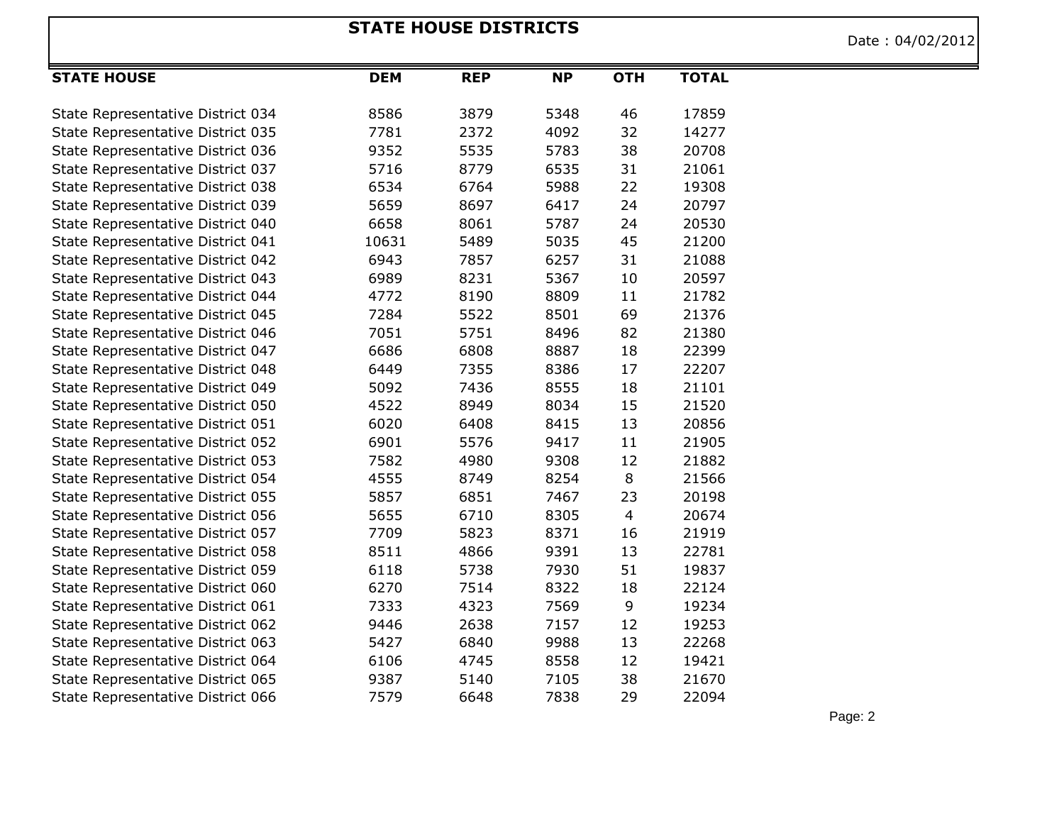## **STATE HOUSE DISTRICTS**

Date : 04/02/2012

| <b>STATE HOUSE</b>                | <b>DEM</b> | <b>REP</b> | <b>NP</b> | <b>OTH</b>     | <b>TOTAL</b> |
|-----------------------------------|------------|------------|-----------|----------------|--------------|
|                                   |            |            |           |                |              |
| State Representative District 034 | 8586       | 3879       | 5348      | 46             | 17859        |
| State Representative District 035 | 7781       | 2372       | 4092      | 32             | 14277        |
| State Representative District 036 | 9352       | 5535       | 5783      | 38             | 20708        |
| State Representative District 037 | 5716       | 8779       | 6535      | 31             | 21061        |
| State Representative District 038 | 6534       | 6764       | 5988      | 22             | 19308        |
| State Representative District 039 | 5659       | 8697       | 6417      | 24             | 20797        |
| State Representative District 040 | 6658       | 8061       | 5787      | 24             | 20530        |
| State Representative District 041 | 10631      | 5489       | 5035      | 45             | 21200        |
| State Representative District 042 | 6943       | 7857       | 6257      | 31             | 21088        |
| State Representative District 043 | 6989       | 8231       | 5367      | 10             | 20597        |
| State Representative District 044 | 4772       | 8190       | 8809      | 11             | 21782        |
| State Representative District 045 | 7284       | 5522       | 8501      | 69             | 21376        |
| State Representative District 046 | 7051       | 5751       | 8496      | 82             | 21380        |
| State Representative District 047 | 6686       | 6808       | 8887      | 18             | 22399        |
| State Representative District 048 | 6449       | 7355       | 8386      | 17             | 22207        |
| State Representative District 049 | 5092       | 7436       | 8555      | 18             | 21101        |
| State Representative District 050 | 4522       | 8949       | 8034      | 15             | 21520        |
| State Representative District 051 | 6020       | 6408       | 8415      | 13             | 20856        |
| State Representative District 052 | 6901       | 5576       | 9417      | 11             | 21905        |
| State Representative District 053 | 7582       | 4980       | 9308      | 12             | 21882        |
| State Representative District 054 | 4555       | 8749       | 8254      | $\bf 8$        | 21566        |
| State Representative District 055 | 5857       | 6851       | 7467      | 23             | 20198        |
| State Representative District 056 | 5655       | 6710       | 8305      | $\overline{4}$ | 20674        |
| State Representative District 057 | 7709       | 5823       | 8371      | 16             | 21919        |
| State Representative District 058 | 8511       | 4866       | 9391      | 13             | 22781        |
| State Representative District 059 | 6118       | 5738       | 7930      | 51             | 19837        |
| State Representative District 060 | 6270       | 7514       | 8322      | 18             | 22124        |
| State Representative District 061 | 7333       | 4323       | 7569      | 9              | 19234        |
| State Representative District 062 | 9446       | 2638       | 7157      | 12             | 19253        |
| State Representative District 063 | 5427       | 6840       | 9988      | 13             | 22268        |
| State Representative District 064 | 6106       | 4745       | 8558      | 12             | 19421        |
| State Representative District 065 | 9387       | 5140       | 7105      | 38             | 21670        |
| State Representative District 066 | 7579       | 6648       | 7838      | 29             | 22094        |